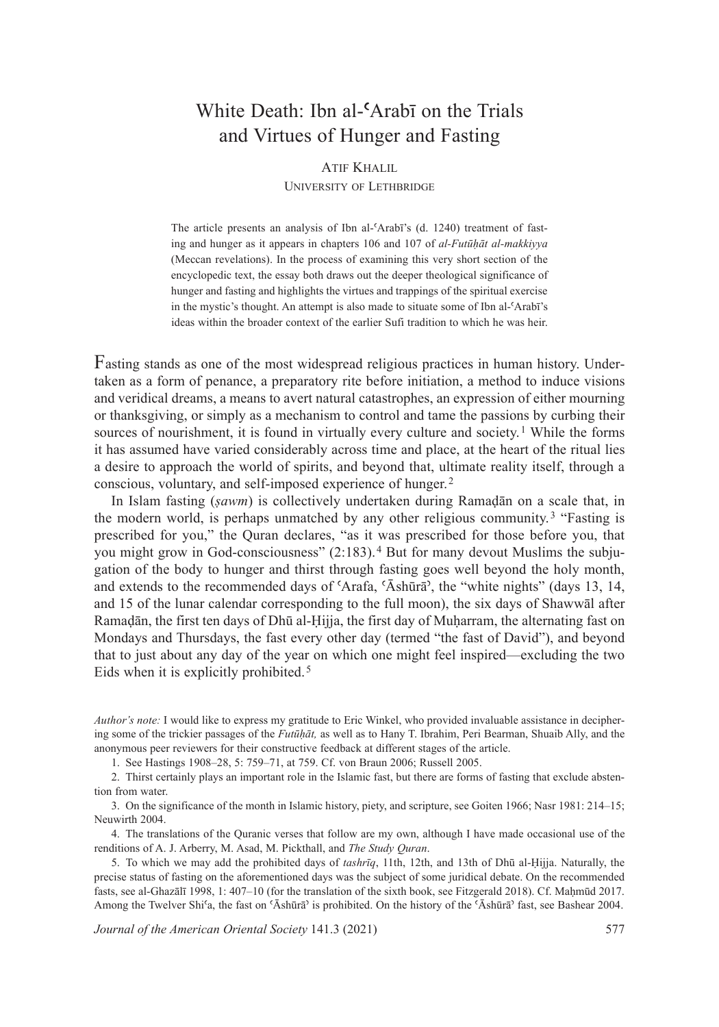## White Death: Ibn al-**ʿ**Arabī on the Trials and Virtues of Hunger and Fasting

## aTiF khalil

## UNIVERSITY OF LETHBRIDGE

The article presents an analysis of Ibn al-ʿArabī's (d. 1240) treatment of fasting and hunger as it appears in chapters 106 and 107 of *al-Futūhāt al-makkiyya* (Meccan revelations). In the process of examining this very short section of the encyclopedic text, the essay both draws out the deeper theological significance of hunger and fasting and highlights the virtues and trappings of the spiritual exercise in the mystic's thought. An attempt is also made to situate some of Ibn al-ʿArabī's ideas within the broader context of the earlier Sufi tradition to which he was heir.

Fasting stands as one of the most widespread religious practices in human history. Undertaken as a form of penance, a preparatory rite before initiation, a method to induce visions and veridical dreams, a means to avert natural catastrophes, an expression of either mourning or thanksgiving, or simply as a mechanism to control and tame the passions by curbing their sources of nourishment, it is found in virtually every culture and society.<sup>1</sup> While the forms it has assumed have varied considerably across time and place, at the heart of the ritual lies a desire to approach the world of spirits, and beyond that, ultimate reality itself, through a conscious, voluntary, and self-imposed experience of hunger.<sup>2</sup>

In Islam fasting (*ṣawm*) is collectively undertaken during Ramaḍān on a scale that, in the modern world, is perhaps unmatched by any other religious community.<sup>3</sup> "Fasting is prescribed for you," the Quran declares, "as it was prescribed for those before you, that you might grow in God-consciousness" (2:183).<sup>4</sup> But for many devout Muslims the subjugation of the body to hunger and thirst through fasting goes well beyond the holy month, and extends to the recommended days of ʿArafa, ʿĀshūrāʾ, the "white nights" (days 13, 14, and 15 of the lunar calendar corresponding to the full moon), the six days of Shawwāl after Ramaḍān, the first ten days of Dhū al-Ḥijja, the first day of Muḥarram, the alternating fast on Mondays and Thursdays, the fast every other day (termed "the fast of David"), and beyond that to just about any day of the year on which one might feel inspired—excluding the two Eids when it is explicitly prohibited.<sup>5</sup>

*Author's note:* I would like to express my gratitude to Eric Winkel, who provided invaluable assistance in deciphering some of the trickier passages of the *Futūḥāt,* as well as to Hany T. Ibrahim, Peri Bearman, Shuaib Ally, and the anonymous peer reviewers for their constructive feedback at different stages of the article.

1. See Hastings 1908–28, 5: 759–71, at 759. Cf. von Braun 2006; Russell 2005.

2. Thirst certainly plays an important role in the Islamic fast, but there are forms of fasting that exclude abstention from water.

3. On the significance of the month in Islamic history, piety, and scripture, see Goiten 1966; Nasr 1981: 214–15; Neuwirth 2004.

4. The translations of the Quranic verses that follow are my own, although I have made occasional use of the renditions of A. J. Arberry, M. Asad, M. Pickthall, and *The Study Quran*.

5. To which we may add the prohibited days of *tashrīq*, 11th, 12th, and 13th of Dhū al-Ḥijja. Naturally, the precise status of fasting on the aforementioned days was the subject of some juridical debate. On the recommended fasts, see al-Ghazālī 1998, 1: 407-10 (for the translation of the sixth book, see Fitzgerald 2018). Cf. Maḥmūd 2017. Among the Twelver Shiʿa, the fast on ʿĀshūrāʾ is prohibited. On the history of the ʿĀshūrāʾ fast, see Bashear 2004.

*Journal of the American Oriental Society* 141.3 (2021) 577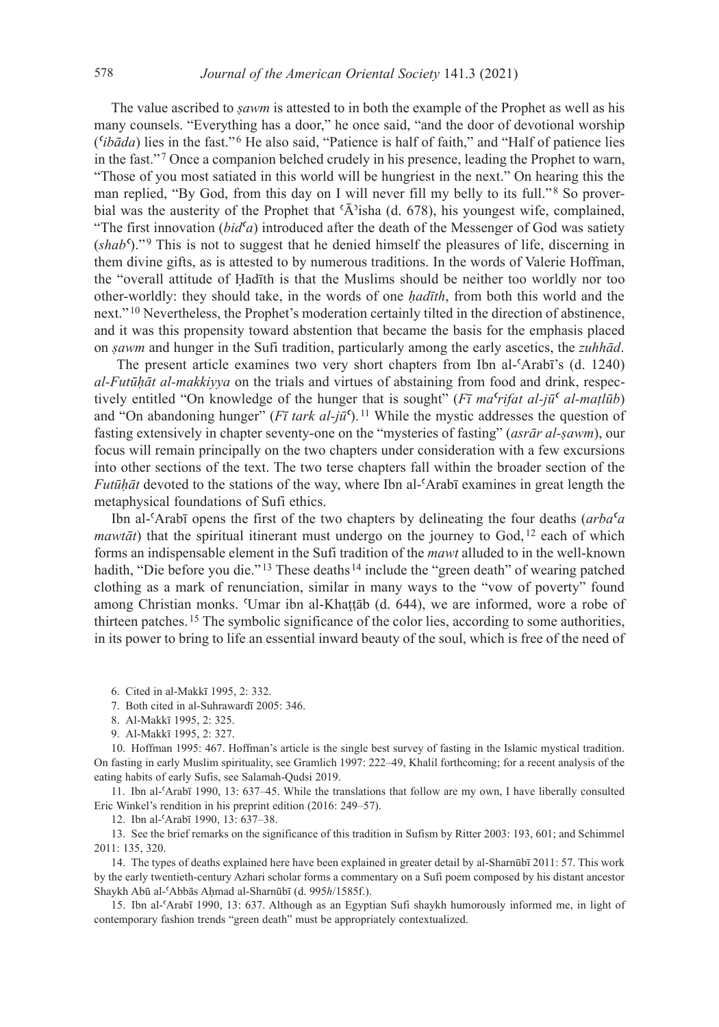The value ascribed to *ṣawm* is attested to in both the example of the Prophet as well as his many counsels. "Everything has a door," he once said, "and the door of devotional worship (*ʿibāda*) lies in the fast."<sup>6</sup> He also said, "Patience is half of faith," and "Half of patience lies in the fast."<sup>7</sup> Once a companion belched crudely in his presence, leading the Prophet to warn, "Those of you most satiated in this world will be hungriest in the next." On hearing this the man replied, "By God, from this day on I will never fill my belly to its full."<sup>8</sup> So proverbial was the austerity of the Prophet that 'Ā'isha (d. 678), his youngest wife, complained, "The first innovation  $(bid^{\mathcal{C}}a)$  introduced after the death of the Messenger of God was satiety (*shabʿ*)."<sup>9</sup> This is not to suggest that he denied himself the pleasures of life, discerning in them divine gifts, as is attested to by numerous traditions. In the words of Valerie Hoffman, the "overall attitude of Ḥadīth is that the Muslims should be neither too worldly nor too other-worldly: they should take, in the words of one *ḥadīth*, from both this world and the next."<sup>10</sup> Nevertheless, the Prophet's moderation certainly tilted in the direction of abstinence, and it was this propensity toward abstention that became the basis for the emphasis placed on *ṣawm* and hunger in the Sufi tradition, particularly among the early ascetics, the *zuhhād*.

The present article examines two very short chapters from Ibn al- $\text{Arab}$ <sup>r</sup>'s (d. 1240) *alFutūḥāt almakkiyya* on the trials and virtues of abstaining from food and drink, respectively entitled "On knowledge of the hunger that is sought" (*Fī ma<sup>c</sup>rifat al-jū<sup>c</sup> al-matlūb*) and "On abandoning hunger" ( $F\bar{\imath}$  tark al- $i\bar{u}$ <sup>c</sup>).<sup>11</sup> While the mystic addresses the question of fasting extensively in chapter seventy-one on the "mysteries of fasting" (*asrār al-ṣawm*), our focus will remain principally on the two chapters under consideration with a few excursions into other sections of the text. The two terse chapters fall within the broader section of the *Futūḥāt* devoted to the stations of the way, where Ibn al-ʿArabī examines in great length the metaphysical foundations of Sufi ethics.

Ibn al-ʿArabī opens the first of the two chapters by delineating the four deaths (*arbaʿa mawtāt*) that the spiritual itinerant must undergo on the journey to God,  $12$  each of which forms an indispensable element in the Sufi tradition of the *mawt* alluded to in the well-known hadith, "Die before you die."<sup>13</sup> These deaths<sup>14</sup> include the "green death" of wearing patched clothing as a mark of renunciation, similar in many ways to the "vow of poverty" found among Christian monks. ʿUmar ibn al-Khaṭṭāb (d. 644), we are informed, wore a robe of thirteen patches.<sup>15</sup> The symbolic significance of the color lies, according to some authorities, in its power to bring to life an essential inward beauty of the soul, which is free of the need of

6. Cited in al-Makkī 1995, 2: 332.

7. Both cited in al-Suhrawardī 2005: 346.

8. Al-Makkī 1995, 2: 325.

9. Al-Makkī 1995, 2: 327.

10. Hoffman 1995: 467. Hoffman's article is the single best survey of fasting in the Islamic mystical tradition. On fasting in early Muslim spirituality, see Gramlich 1997: 222–49, Khalil forthcoming; for a recent analysis of the eating habits of early Sufis, see Salamah-Qudsi 2019.

11. Ibn al-ʿArabī 1990, 13: 637–45. While the translations that follow are my own, I have liberally consulted Eric Winkel's rendition in his preprint edition (2016: 249–57).

12. Ibn al-ʿArabī 1990, 13: 637–38.

13. See the brief remarks on the significance of this tradition in Sufism by Ritter 2003: 193, 601; and Schimmel 2011: 135, 320.

14. The types of deaths explained here have been explained in greater detail by al-Sharnūbī 2011: 57. This work by the early twentieth-century Azhari scholar forms a commentary on a Sufi poem composed by his distant ancestor Shaykh Abū al-ʿAbbās Aḥmad al-Sharnūbī (d. 995*h*/1585f.).

15. Ibn al-ʿArabī 1990, 13: 637. Although as an Egyptian Sufi shaykh humorously informed me, in light of contemporary fashion trends "green death" must be appropriately contextualized.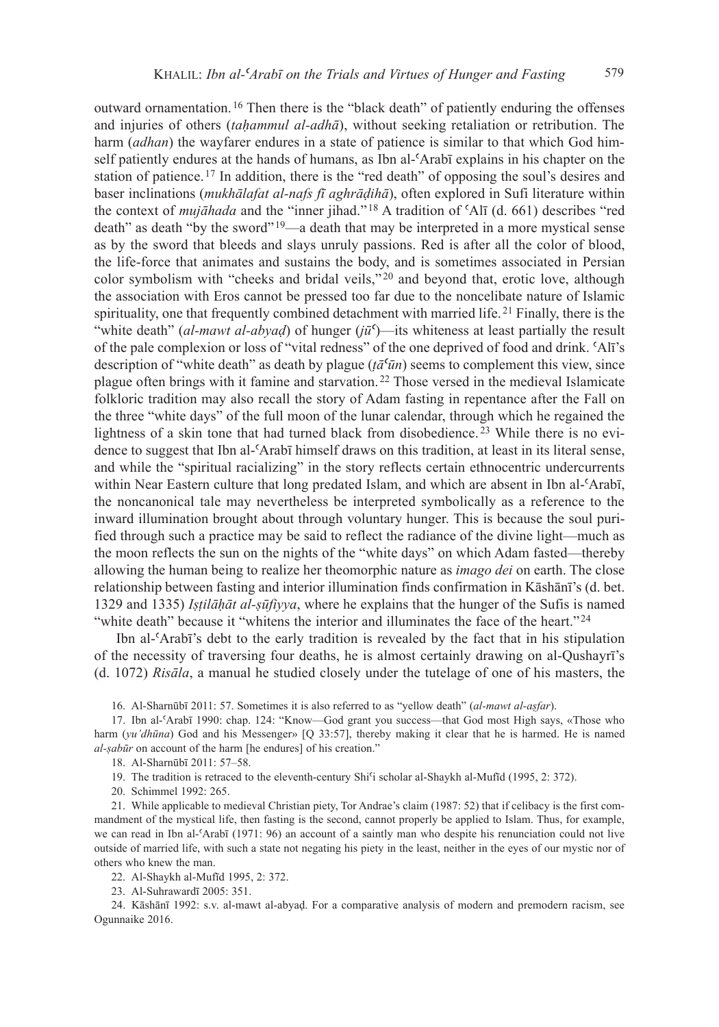outward ornamentation.<sup>16</sup> Then there is the "black death" of patiently enduring the offenses and injuries of others (*tahammul al-adhā*), without seeking retaliation or retribution. The harm *(adhan)* the wayfarer endures in a state of patience is similar to that which God himself patiently endures at the hands of humans, as Ibn al- $\Delta$ Arabī explains in his chapter on the station of patience.<sup>17</sup> In addition, there is the "red death" of opposing the soul's desires and baser inclinations (*mukhālafat al-nafs fī aghrāḍihā*), often explored in Sufi literature within the context of *mujāhada* and the "inner jihad."<sup>18</sup> A tradition of ʿAlī (d. 661) describes "red death" as death "by the sword"<sup>19</sup>—a death that may be interpreted in a more mystical sense as by the sword that bleeds and slays unruly passions. Red is after all the color of blood, the life-force that animates and sustains the body, and is sometimes associated in Persian color symbolism with "cheeks and bridal veils,"<sup>20</sup> and beyond that, erotic love, although the association with Eros cannot be pressed too far due to the noncelibate nature of Islamic spirituality, one that frequently combined detachment with married life.<sup>21</sup> Finally, there is the "white death" (*al-mawt al-abyaḍ*) of hunger ( $j\bar{u}^c$ )—its whiteness at least partially the result of the pale complexion or loss of "vital redness" of the one deprived of food and drink. ʿAlī's description of "white death" as death by plague ( $t\bar{a}$ <sup>*cūn*</sup>) seems to complement this view, since plague often brings with it famine and starvation.<sup>22</sup> Those versed in the medieval Islamicate folkloric tradition may also recall the story of Adam fasting in repentance after the Fall on the three "white days" of the full moon of the lunar calendar, through which he regained the lightness of a skin tone that had turned black from disobedience. 23 While there is no evidence to suggest that Ibn al-ʿArabī himself draws on this tradition, at least in its literal sense, and while the "spiritual racializing" in the story reflects certain ethnocentric undercurrents within Near Eastern culture that long predated Islam, and which are absent in Ibn al- $'Arab\bar{b}$ , the noncanonical tale may nevertheless be interpreted symbolically as a reference to the inward illumination brought about through voluntary hunger. This is because the soul purified through such a practice may be said to reflect the radiance of the divine light—much as the moon reflects the sun on the nights of the "white days" on which Adam fasted—thereby allowing the human being to realize her theomorphic nature as *imago dei* on earth. The close relationship between fasting and interior illumination finds confirmation in Kāshānī's (d. bet. 1329 and 1335) *Iṣṭilāḥāt alṣūfiyya*, where he explains that the hunger of the Sufis is named "white death" because it "whitens the interior and illuminates the face of the heart."<sup>24</sup>

 Ibn al-ʿArabī's debt to the early tradition is revealed by the fact that in his stipulation of the necessity of traversing four deaths, he is almost certainly drawing on al-Qushayrī's (d. 1072) *Risāla*, a manual he studied closely under the tutelage of one of his masters, the

16. Al-Sharnūbī 2011: 57. Sometimes it is also referred to as "yellow death" (*almawt alaṣfar*).

17. Ibn al-ʿArabī 1990: chap. 124: "Know—God grant you success—that God most High says, «Those who harm (*yu'dhūna*) God and his Messenger» [Q 33:57], thereby making it clear that he is harmed. He is named *al-sabūr* on account of the harm [he endures] of his creation."

18. Al-Sharnūbī 2011: 57–58.

19. The tradition is retraced to the eleventh-century Shi<sup>c</sup>i scholar al-Shaykh al-Mufīd (1995, 2: 372).

20. Schimmel 1992: 265.

21. While applicable to medieval Christian piety, Tor Andrae's claim (1987: 52) that if celibacy is the first commandment of the mystical life, then fasting is the second, cannot properly be applied to Islam. Thus, for example, we can read in Ibn al- $\text{Arab}$ <sub>1</sub> (1971: 96) an account of a saintly man who despite his renunciation could not live outside of married life, with such a state not negating his piety in the least, neither in the eyes of our mystic nor of others who knew the man.

22. Al-Shaykh al-Mufīd 1995, 2: 372.

23. Al-Suhrawardī 2005: 351.

24. Kāshānī 1992: s.v. al-mawt al-abyaḍ. For a comparative analysis of modern and premodern racism, see Ogunnaike 2016.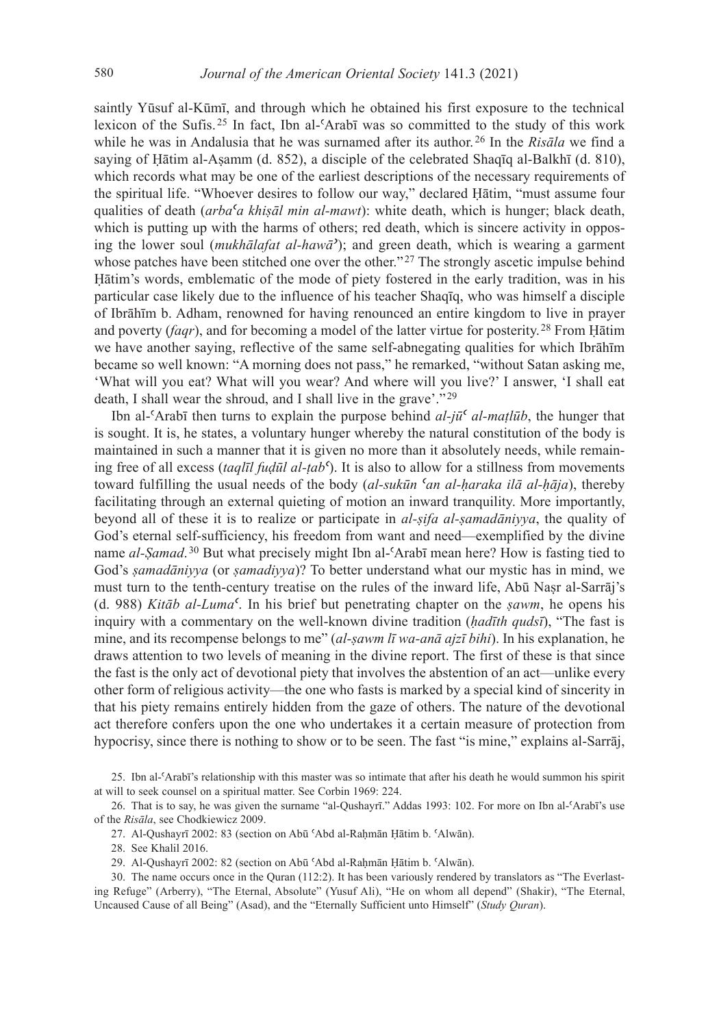saintly Yūsuf al-Kūmī, and through which he obtained his first exposure to the technical lexicon of the Sufis.<sup>25</sup> In fact, Ibn al-ʿArabī was so committed to the study of this work while he was in Andalusia that he was surnamed after its author.<sup>26</sup> In the *Risāla* we find a saying of Ḥātim al-Aṣamm (d. 852), a disciple of the celebrated Shaqīq al-Balkhī (d. 810), which records what may be one of the earliest descriptions of the necessary requirements of the spiritual life. "Whoever desires to follow our way," declared Ḥātim, "must assume four qualities of death (*arba<sup>c</sup>a khiṣāl min al-mawt*): white death, which is hunger; black death, which is putting up with the harms of others; red death, which is sincere activity in opposing the lower soul (*mukhālafat al-hawā*<sup> $\prime$ </sup>); and green death, which is wearing a garment whose patches have been stitched one over the other."<sup>27</sup> The strongly ascetic impulse behind Ḥātim's words, emblematic of the mode of piety fostered in the early tradition, was in his particular case likely due to the influence of his teacher Shaqīq, who was himself a disciple of Ibrāhīm b. Adham, renowned for having renounced an entire kingdom to live in prayer and poverty (*faqr*), and for becoming a model of the latter virtue for posterity.<sup>28</sup> From Ḥātim we have another saying, reflective of the same self-abnegating qualities for which Ibrāhīm became so well known: "A morning does not pass," he remarked, "without Satan asking me, 'What will you eat? What will you wear? And where will you live?' I answer, 'I shall eat death, I shall wear the shroud, and I shall live in the grave'."<sup>29</sup>

Ibn al- $\langle$ Arabī then turns to explain the purpose behind *al-jū*<sup> $\zeta$ </sup> *al-matlūb*, the hunger that is sought. It is, he states, a voluntary hunger whereby the natural constitution of the body is maintained in such a manner that it is given no more than it absolutely needs, while remaining free of all excess (*taqlīl fuḍūl al-ṭab<sup><i>c*</sup>). It is also to allow for a stillness from movements toward fulfilling the usual needs of the body (*al-sukūn 'an al-haraka ilā al-ḥāja*), thereby facilitating through an external quieting of motion an inward tranquility. More importantly, beyond all of these it is to realize or participate in *al-sifa al-samadāniyya*, the quality of God's eternal self-sufficiency, his freedom from want and need—exemplified by the divine name al-Samad.<sup>30</sup> But what precisely might Ibn al-'Arabī mean here? How is fasting tied to God's *ṣamadāniyya* (or *ṣamadiyya*)? To better understand what our mystic has in mind, we must turn to the tenth-century treatise on the rules of the inward life, Abū Naṣr al-Sarrāj's (d. 988) *Kitāb alLumaʿ*. In his brief but penetrating chapter on the *ṣawm*, he opens his inquiry with a commentary on the well-known divine tradition (*ḥadīth qudsī*), "The fast is mine, and its recompense belongs to me" *(al-şawm lī wa-anā ajzī bihi*). In his explanation, he draws attention to two levels of meaning in the divine report. The first of these is that since the fast is the only act of devotional piety that involves the abstention of an act—unlike every other form of religious activity—the one who fasts is marked by a special kind of sincerity in that his piety remains entirely hidden from the gaze of others. The nature of the devotional act therefore confers upon the one who undertakes it a certain measure of protection from hypocrisy, since there is nothing to show or to be seen. The fast "is mine," explains al-Sarrāj,

25. Ibn al-ʿArabī's relationship with this master was so intimate that after his death he would summon his spirit at will to seek counsel on a spiritual matter. See Corbin 1969: 224.

26. That is to say, he was given the surname "al-Qushayrī." Addas 1993: 102. For more on Ibn al-ʿArabī's use of the *Risāla*, see Chodkiewicz 2009.

27. Al-Qushayrī 2002: 83 (section on Abū ʿAbd al-Raḥmān Ḥātim b. ʿAlwān).

28. See Khalil 2016.

29. Al-Qushayrī 2002: 82 (section on Abū ʿAbd al-Raḥmān Ḥātim b. ʿAlwān).

30. The name occurs once in the Quran (112:2). It has been variously rendered by translators as "The Everlasting Refuge" (Arberry), "The Eternal, Absolute" (Yusuf Ali), "He on whom all depend" (Shakir), "The Eternal, Uncaused Cause of all Being" (Asad), and the "Eternally Sufficient unto Himself" (*Study Quran*).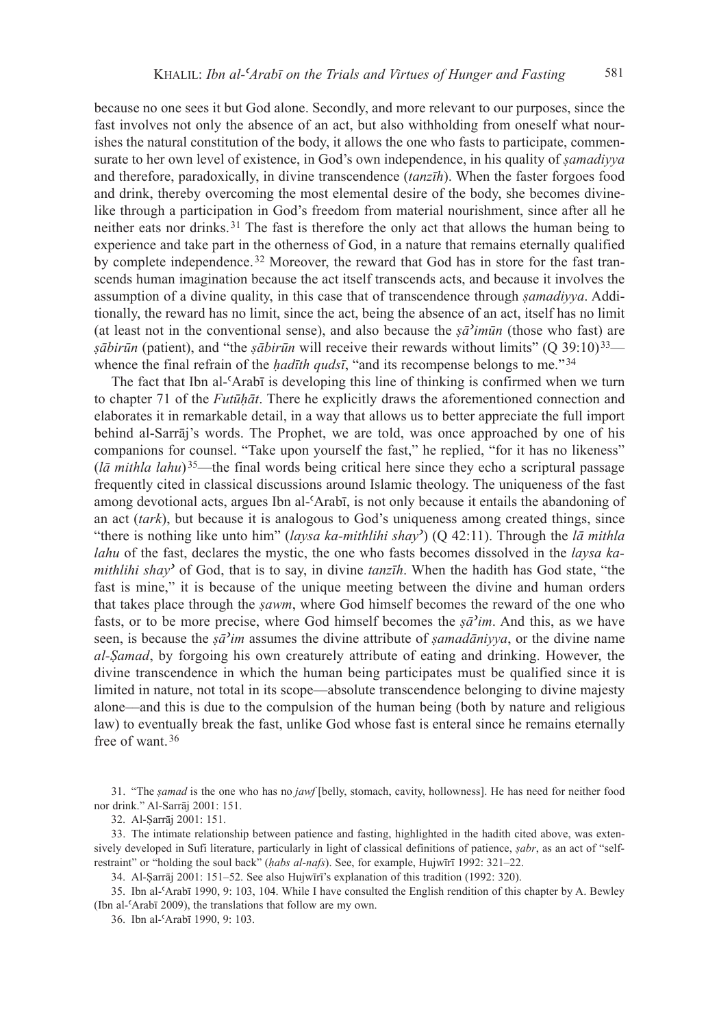because no one sees it but God alone. Secondly, and more relevant to our purposes, since the fast involves not only the absence of an act, but also withholding from oneself what nourishes the natural constitution of the body, it allows the one who fasts to participate, commensurate to her own level of existence, in God's own independence, in his quality of *ṣamadiyya* and therefore, paradoxically, in divine transcendence (*tanzīh*). When the faster forgoes food and drink, thereby overcoming the most elemental desire of the body, she becomes divinelike through a participation in God's freedom from material nourishment, since after all he neither eats nor drinks.<sup>31</sup> The fast is therefore the only act that allows the human being to experience and take part in the otherness of God, in a nature that remains eternally qualified by complete independence.<sup>32</sup> Moreover, the reward that God has in store for the fast transcends human imagination because the act itself transcends acts, and because it involves the assumption of a divine quality, in this case that of transcendence through *ṣamadiyya*. Additionally, the reward has no limit, since the act, being the absence of an act, itself has no limit (at least not in the conventional sense), and also because the  $\bar{s}a$ <sup>*imūn*</sup> (those who fast) are *şābirūn* (patient), and "the *şābirūn* will receive their rewards without limits" (Q 39:10)<sup>33</sup> whence the final refrain of the *hadīth qudsī*, "and its recompense belongs to me."<sup>34</sup>

The fact that Ibn al-ʿArabī is developing this line of thinking is confirmed when we turn to chapter 71 of the *Futūḥāt*. There he explicitly draws the aforementioned connection and elaborates it in remarkable detail, in a way that allows us to better appreciate the full import behind al-Sarrāj's words. The Prophet, we are told, was once approached by one of his companions for counsel. "Take upon yourself the fast," he replied, "for it has no likeness" (*lā mithla lahu*) <sup>35</sup>—the final words being critical here since they echo a scriptural passage frequently cited in classical discussions around Islamic theology. The uniqueness of the fast among devotional acts, argues Ibn al-ʿArabī, is not only because it entails the abandoning of an act (*tark*), but because it is analogous to God's uniqueness among created things, since "there is nothing like unto him" (*laysa ka-mithlihi shayʾ*) (Q 42:11). Through the *lā mithla lahu* of the fast, declares the mystic, the one who fasts becomes dissolved in the *laysa kamithlihi shayʾ* of God, that is to say, in divine *tanzīh*. When the hadith has God state, "the fast is mine," it is because of the unique meeting between the divine and human orders that takes place through the *ṣawm*, where God himself becomes the reward of the one who fasts, or to be more precise, where God himself becomes the *ṣāʾim*. And this, as we have seen, is because the *ṣāʾim* assumes the divine attribute of *ṣamadāniyya*, or the divine name *al-Şamad*, by forgoing his own creaturely attribute of eating and drinking. However, the divine transcendence in which the human being participates must be qualified since it is limited in nature, not total in its scope—absolute transcendence belonging to divine majesty alone––and this is due to the compulsion of the human being (both by nature and religious law) to eventually break the fast, unlike God whose fast is enteral since he remains eternally free of want.<sup>36</sup>

31. "The *ṣamad* is the one who has no *jawf* [belly, stomach, cavity, hollowness]. He has need for neither food nor drink." Al-Sarrāj 2001: 151.

32. Al-Ṣarrāj 2001: 151.

33. The intimate relationship between patience and fasting, highlighted in the hadith cited above, was extensively developed in Sufi literature, particularly in light of classical definitions of patience, *ṣabr*, as an act of "selfrestraint" or "holding the soul back" (*habs al-nafs*). See, for example, Hujwīrī 1992: 321–22.

34. Al-Ṣarrāj 2001: 151–52. See also Hujwīrī's explanation of this tradition (1992: 320).

35. Ibn al-ʿArabī 1990, 9: 103, 104. While I have consulted the English rendition of this chapter by A. Bewley (Ibn al-ʿArabī 2009), the translations that follow are my own.

36. Ibn al-ʿArabī 1990, 9: 103.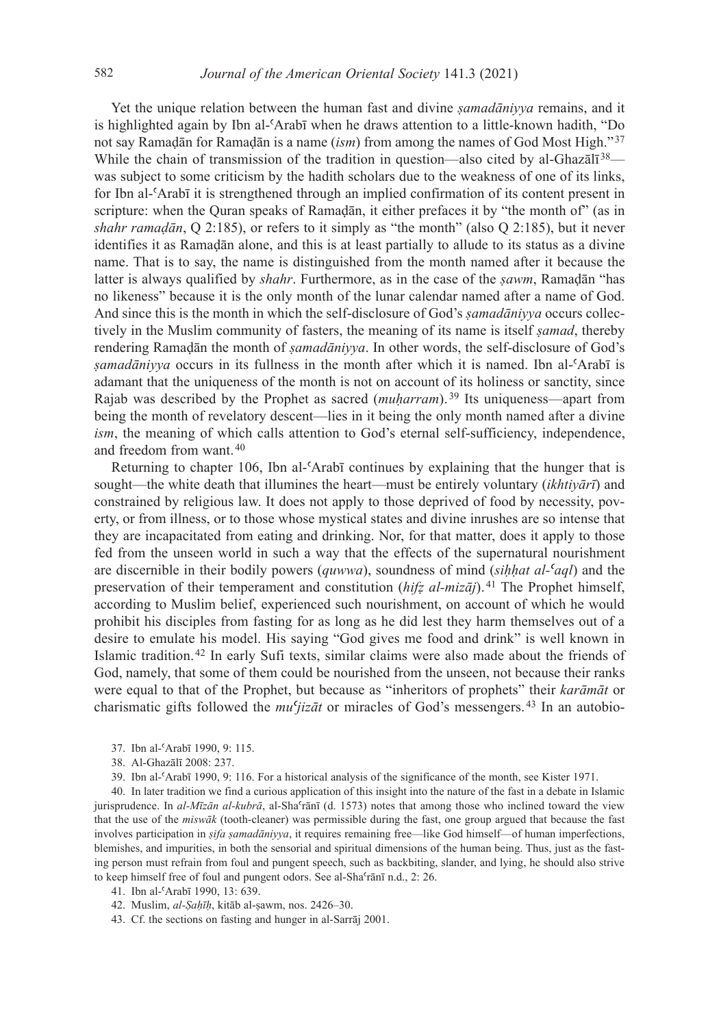Yet the unique relation between the human fast and divine *ṣamadāniyya* remains, and it is highlighted again by Ibn al-ʿArabī when he draws attention to a little-known hadith, "Do not say Ramaḍān for Ramaḍān is a name (*ism*) from among the names of God Most High."<sup>37</sup> While the chain of transmission of the tradition in question—also cited by al-Ghaz $\overline{a}I^{\overline{3}8}$  was subject to some criticism by the hadith scholars due to the weakness of one of its links, for Ibn al-ʿArabī it is strengthened through an implied confirmation of its content present in scripture: when the Quran speaks of Ramaḍān, it either prefaces it by "the month of" (as in *shahr ramaḍān*, Q 2:185), or refers to it simply as "the month" (also Q 2:185), but it never identifies it as Ramaḍān alone, and this is at least partially to allude to its status as a divine name. That is to say, the name is distinguished from the month named after it because the latter is always qualified by *shahr*. Furthermore, as in the case of the *ṣawm*, Ramaḍān "has no likeness" because it is the only month of the lunar calendar named after a name of God. And since this is the month in which the self-disclosure of God's *ṣamadāniyya* occurs collectively in the Muslim community of fasters, the meaning of its name is itself *ṣamad*, thereby rendering Ramaḍān the month of *ṣamadāniyya*. In other words, the self-disclosure of God's *ṣamadāniyya* occurs in its fullness in the month after which it is named. Ibn al-ʿArabī is adamant that the uniqueness of the month is not on account of its holiness or sanctity, since Rajab was described by the Prophet as sacred (*muḥarram*).<sup>39</sup> Its uniqueness—apart from being the month of revelatory descent—lies in it being the only month named after a divine *ism*, the meaning of which calls attention to God's eternal self-sufficiency, independence, and freedom from want.<sup>40</sup>

Returning to chapter 106, Ibn al- $\text{Arabi}$  continues by explaining that the hunger that is sought—the white death that illumines the heart—must be entirely voluntary (*ikhtiyārī*) and constrained by religious law. It does not apply to those deprived of food by necessity, poverty, or from illness, or to those whose mystical states and divine inrushes are so intense that they are incapacitated from eating and drinking. Nor, for that matter, does it apply to those fed from the unseen world in such a way that the effects of the supernatural nourishment are discernible in their bodily powers (*quwwa*), soundness of mind (*siḥḥat alʿaql*) and the preservation of their temperament and constitution (*hifz al-mizāj*).<sup>41</sup> The Prophet himself, according to Muslim belief, experienced such nourishment, on account of which he would prohibit his disciples from fasting for as long as he did lest they harm themselves out of a desire to emulate his model. His saying "God gives me food and drink" is well known in Islamic tradition.<sup>42</sup> In early Sufi texts, similar claims were also made about the friends of God, namely, that some of them could be nourished from the unseen, not because their ranks were equal to that of the Prophet, but because as "inheritors of prophets" their *karāmāt* or charismatic gifts followed the *muʿjizāt* or miracles of God's messengers. 43 In an autobio-

- 37. Ibn al-ʿArabī 1990, 9: 115.
- 38. Al-Ghazālī 2008: 237.
- 39. Ibn al-ʿArabī 1990, 9: 116. For a historical analysis of the significance of the month, see Kister 1971.

40. In later tradition we find a curious application of this insight into the nature of the fast in a debate in Islamic jurisprudence. In *al-Mīzān al-kubrā*, al-Shaʿrānī (d. 1573) notes that among those who inclined toward the view that the use of the *miswāk* (tooth-cleaner) was permissible during the fast, one group argued that because the fast involves participation in *ṣifa ṣamadāniyya*, it requires remaining free—like God himself—of human imperfections, blemishes, and impurities, in both the sensorial and spiritual dimensions of the human being. Thus, just as the fasting person must refrain from foul and pungent speech, such as backbiting, slander, and lying, he should also strive to keep himself free of foul and pungent odors. See al-Shaʿrānī n.d., 2: 26.

- 41. Ibn al-ʿArabī 1990, 13: 639.
- 42. Muslim, *alṢaḥīḥ*, kitāb al-ṣawm, nos. 2426–30.
- 43. Cf. the sections on fasting and hunger in al-Sarrāj 2001.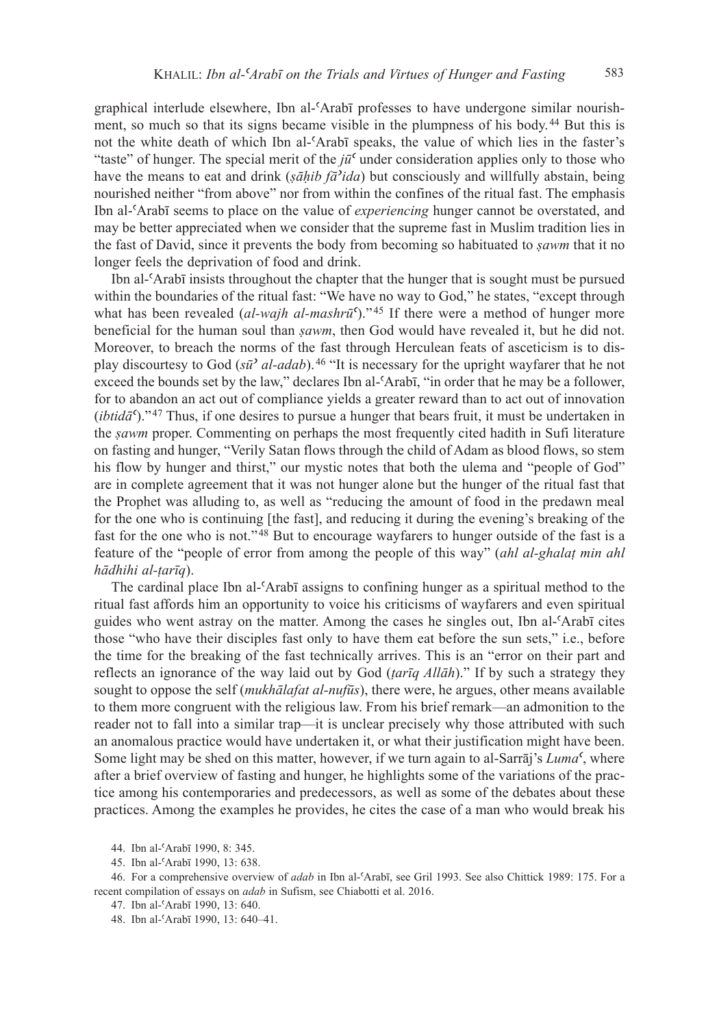graphical interlude elsewhere, Ibn al-ʿArabī professes to have undergone similar nourishment, so much so that its signs became visible in the plumpness of his body.<sup>44</sup> But this is not the white death of which Ibn al-ʿArabī speaks, the value of which lies in the faster's "taste" of hunger. The special merit of the *jūʿ* under consideration applies only to those who have the means to eat and drink (*ṣāḥib fāʾida*) but consciously and willfully abstain, being nourished neither "from above" nor from within the confines of the ritual fast. The emphasis Ibn al-ʿArabī seems to place on the value of *experiencing* hunger cannot be overstated, and may be better appreciated when we consider that the supreme fast in Muslim tradition lies in the fast of David, since it prevents the body from becoming so habituated to *ṣawm* that it no longer feels the deprivation of food and drink.

Ibn al-ʿArabī insists throughout the chapter that the hunger that is sought must be pursued within the boundaries of the ritual fast: "We have no way to God," he states, "except through what has been revealed (*al-wajh al-mashrū<sup>c</sup>*)."<sup>45</sup> If there were a method of hunger more beneficial for the human soul than *ṣawm*, then God would have revealed it, but he did not. Moreover, to breach the norms of the fast through Herculean feats of asceticism is to display discourtesy to God (*sūʾ al-adab*).<sup>46</sup> "It is necessary for the upright wayfarer that he not exceed the bounds set by the law," declares Ibn al-ʿArabī, "in order that he may be a follower, for to abandon an act out of compliance yields a greater reward than to act out of innovation (*ibtidāʿ*)."<sup>47</sup> Thus, if one desires to pursue a hunger that bears fruit, it must be undertaken in the *ṣawm* proper. Commenting on perhaps the most frequently cited hadith in Sufi literature on fasting and hunger, "Verily Satan flows through the child of Adam as blood flows, so stem his flow by hunger and thirst," our mystic notes that both the ulema and "people of God" are in complete agreement that it was not hunger alone but the hunger of the ritual fast that the Prophet was alluding to, as well as "reducing the amount of food in the predawn meal for the one who is continuing [the fast], and reducing it during the evening's breaking of the fast for the one who is not."<sup>48</sup> But to encourage wayfarers to hunger outside of the fast is a feature of the "people of error from among the people of this way" (*ahl al-ghalat min ahl hādhihi alṭarīq*).

The cardinal place Ibn al-ʿArabī assigns to confining hunger as a spiritual method to the ritual fast affords him an opportunity to voice his criticisms of wayfarers and even spiritual guides who went astray on the matter. Among the cases he singles out, Ibn al-ʿArabī cites those "who have their disciples fast only to have them eat before the sun sets," i.e., before the time for the breaking of the fast technically arrives. This is an "error on their part and reflects an ignorance of the way laid out by God (*ṭarīq Allāh*)." If by such a strategy they sought to oppose the self (*mukhālafat al-nufūs*), there were, he argues, other means available to them more congruent with the religious law. From his brief remark—an admonition to the reader not to fall into a similar trap—it is unclear precisely why those attributed with such an anomalous practice would have undertaken it, or what their justification might have been. Some light may be shed on this matter, however, if we turn again to al-Sarrāj's *Lumaʿ*, where after a brief overview of fasting and hunger, he highlights some of the variations of the practice among his contemporaries and predecessors, as well as some of the debates about these practices. Among the examples he provides, he cites the case of a man who would break his

<sup>44</sup>. Ibn al-ʿArabī 1990, 8: 345.

<sup>45</sup>. Ibn al-ʿArabī 1990, 13: 638.

<sup>46</sup>. For a comprehensive overview of *adab* in Ibn al-ʿArabī, see Gril 1993. See also Chittick 1989: 175. For a recent compilation of essays on *adab* in Sufism, see Chiabotti et al. 2016.

<sup>47</sup>. Ibn al-ʿArabī 1990, 13: 640.

<sup>48</sup>. Ibn al-ʿArabī 1990, 13: 640–41.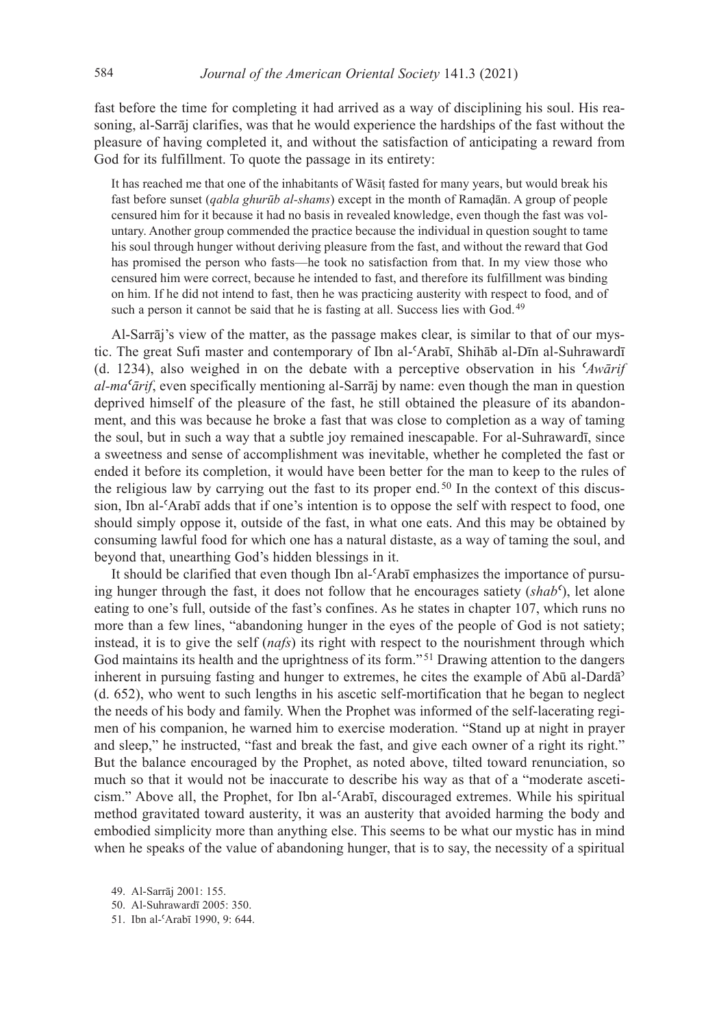fast before the time for completing it had arrived as a way of disciplining his soul. His reasoning, al-Sarrāj clarifies, was that he would experience the hardships of the fast without the pleasure of having completed it, and without the satisfaction of anticipating a reward from God for its fulfillment. To quote the passage in its entirety:

It has reached me that one of the inhabitants of Wāsiṭ fasted for many years, but would break his fast before sunset (*qabla ghurūb alshams*) except in the month of Ramaḍān. A group of people censured him for it because it had no basis in revealed knowledge, even though the fast was voluntary. Another group commended the practice because the individual in question sought to tame his soul through hunger without deriving pleasure from the fast, and without the reward that God has promised the person who fasts—he took no satisfaction from that. In my view those who censured him were correct, because he intended to fast, and therefore its fulfillment was binding on him. If he did not intend to fast, then he was practicing austerity with respect to food, and of such a person it cannot be said that he is fasting at all. Success lies with God.<sup>49</sup>

Al-Sarrāj's view of the matter, as the passage makes clear, is similar to that of our mystic. The great Sufi master and contemporary of Ibn al-ʿArabī, Shihāb al-Dīn al-Suhrawardī (d. 1234), also weighed in on the debate with a perceptive observation in his *ʿAwārif al-maʿārif*, even specifically mentioning al-Sarrāj by name: even though the man in question deprived himself of the pleasure of the fast, he still obtained the pleasure of its abandonment, and this was because he broke a fast that was close to completion as a way of taming the soul, but in such a way that a subtle joy remained inescapable. For al-Suhrawardī, since a sweetness and sense of accomplishment was inevitable, whether he completed the fast or ended it before its completion, it would have been better for the man to keep to the rules of the religious law by carrying out the fast to its proper end.<sup>50</sup> In the context of this discussion, Ibn al-ʿArabī adds that if one's intention is to oppose the self with respect to food, one should simply oppose it, outside of the fast, in what one eats. And this may be obtained by consuming lawful food for which one has a natural distaste, as a way of taming the soul, and beyond that, unearthing God's hidden blessings in it.

It should be clarified that even though Ibn al- $\Delta$ rabī emphasizes the importance of pursuing hunger through the fast, it does not follow that he encourages satiety (*shabʿ*), let alone eating to one's full, outside of the fast's confines. As he states in chapter 107, which runs no more than a few lines, "abandoning hunger in the eyes of the people of God is not satiety; instead, it is to give the self (*nafs*) its right with respect to the nourishment through which God maintains its health and the uprightness of its form."<sup>51</sup> Drawing attention to the dangers inherent in pursuing fasting and hunger to extremes, he cites the example of Abū al-Dardā<sup>3</sup> (d. 652), who went to such lengths in his ascetic self-mortification that he began to neglect the needs of his body and family. When the Prophet was informed of the self-lacerating regimen of his companion, he warned him to exercise moderation. "Stand up at night in prayer and sleep," he instructed, "fast and break the fast, and give each owner of a right its right." But the balance encouraged by the Prophet, as noted above, tilted toward renunciation, so much so that it would not be inaccurate to describe his way as that of a "moderate asceticism." Above all, the Prophet, for Ibn al-ʿArabī, discouraged extremes. While his spiritual method gravitated toward austerity, it was an austerity that avoided harming the body and embodied simplicity more than anything else. This seems to be what our mystic has in mind when he speaks of the value of abandoning hunger, that is to say, the necessity of a spiritual

<sup>49</sup>. Al-Sarrāj 2001: 155.

<sup>50</sup>. Al-Suhrawardī 2005: 350.

<sup>51</sup>. Ibn al-ʿArabī 1990, 9: 644.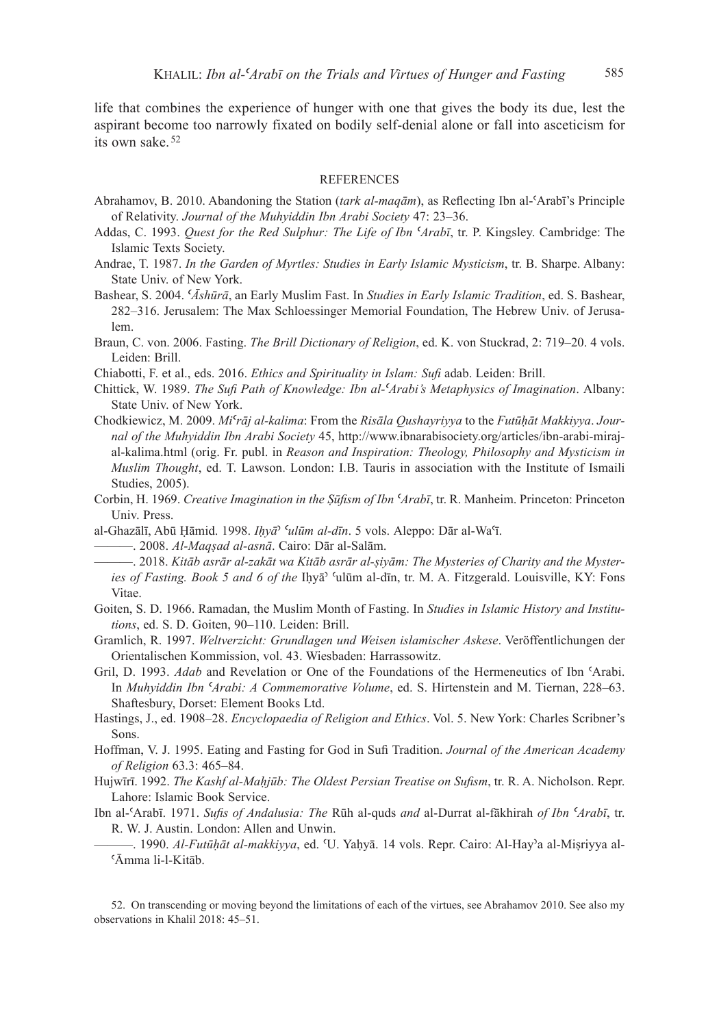life that combines the experience of hunger with one that gives the body its due, lest the aspirant become too narrowly fixated on bodily self-denial alone or fall into asceticism for its own sake  $52$ 

## **REFERENCES**

- Abrahamov, B. 2010. Abandoning the Station *(tark al-maqām*), as Reflecting Ibn al-ʿArabī's Principle of Relativity. *Journal of the Muhyiddin Ibn Arabi Society* 47: 23–36.
- Addas, C. 1993. *Quest for the Red Sulphur: The Life of Ibn ʿArabī*, tr. P. Kingsley. Cambridge: The Islamic Texts Society.
- Andrae, T. 1987. *In the Garden of Myrtles: Studies in Early Islamic Mysticism*, tr. B. Sharpe. Albany: State Univ. of New York.
- Bashear, S. 2004. *ʿĀshūrā*, an Early Muslim Fast. In *Studies in Early Islamic Tradition*, ed. S. Bashear, 282–316. Jerusalem: The Max Schloessinger Memorial Foundation, The Hebrew Univ. of Jerusalem.
- Braun, C. von. 2006. Fasting. *The Brill Dictionary of Religion*, ed. K. von Stuckrad, 2: 719–20. 4 vols. Leiden: Brill.
- Chiabotti, F. et al., eds. 2016. *Ethics and Spirituality in Islam: Sufi* adab. Leiden: Brill.
- Chittick, W. 1989. *The Sufi Path of Knowledge: Ibn alʿArabi's Metaphysics of Imagination*. Albany: State Univ. of New York.
- Chodkiewicz, M. 2009. *Miʿrāj alkalima*: From the *Risāla Qushayriyya* to the *Futūḥāt Makkiyya*. *Journal of the Muhyiddin Ibn Arabi Society* 45, http://www.ibnarabisociety.org/articles/ibn-arabi-mirajal-kalima.html (orig. Fr. publ. in *Reason and Inspiration: Theology, Philosophy and Mysticism in Muslim Thought*, ed. T. Lawson. London: I.B. Tauris in association with the Institute of Ismaili Studies, 2005).
- Corbin, H. 1969. *Creative Imagination in the Ṣūfism of Ibn ʿArabī*, tr. R. Manheim. Princeton: Princeton Univ. Press.
- al-Ghazālī, Abū Ḥāmid. 1998. *Iḥyā*ʾ *ʿulūm aldīn*. 5 vols. Aleppo: Dār al-Waʿī.

———. 2008. *AlMaqṣad alasnā*. Cairo: Dār al-Salām.

- ———. 2018. *Kitāb asrār alzakāt wa Kitāb asrār alṣiyām: The Mysteries of Charity and the Mysteries of Fasting. Book 5 and 6 of the Ihya*<sup>3</sup> 'ulūm al-dīn, tr. M. A. Fitzgerald. Louisville, KY: Fons Vitae.
- Goiten, S. D. 1966. Ramadan, the Muslim Month of Fasting. In *Studies in Islamic History and Institutions*, ed. S. D. Goiten, 90–110. Leiden: Brill.
- Gramlich, R. 1997. *Weltverzicht: Grundlagen und Weisen islamischer Askese*. Veröffentlichungen der Orientalischen Kommission, vol. 43. Wiesbaden: Harrassowitz.
- Gril, D. 1993. *Adab* and Revelation or One of the Foundations of the Hermeneutics of Ibn 'Arabi. In *Muhyiddin Ibn ʿArabi: A Commemorative Volume*, ed. S. Hirtenstein and M. Tiernan, 228–63. Shaftesbury, Dorset: Element Books Ltd.
- Hastings, J., ed. 1908–28. *Encyclopaedia of Religion and Ethics*. Vol. 5. New York: Charles Scribner's Sons.
- Hoffman, V. J. 1995. Eating and Fasting for God in Sufi Tradition. *Journal of the American Academy of Religion* 63.3: 465–84.
- Hujwīrī. 1992. *The Kashf al-Maḥjūb: The Oldest Persian Treatise on Sufism*, tr. R. A. Nicholson. Repr. Lahore: Islamic Book Service.
- Ibn al-ʿArabī. 1971. *Sufis of Andalusia: The* Rūh al-quds *and* al-Durrat al-fākhirah *of Ibn ʿArabī*, tr. R. W. J. Austin. London: Allen and Unwin.
	- ———. 1990. *AlFutūḥāt almakkiyya*, ed. ʿU. Yaḥyā. 14 vols. Repr. Cairo: Al-Hayʾa al-Miṣriyya al-ʿĀmma li-l-Kitāb.

52. On transcending or moving beyond the limitations of each of the virtues, see Abrahamov 2010. See also my observations in Khalil 2018: 45–51.